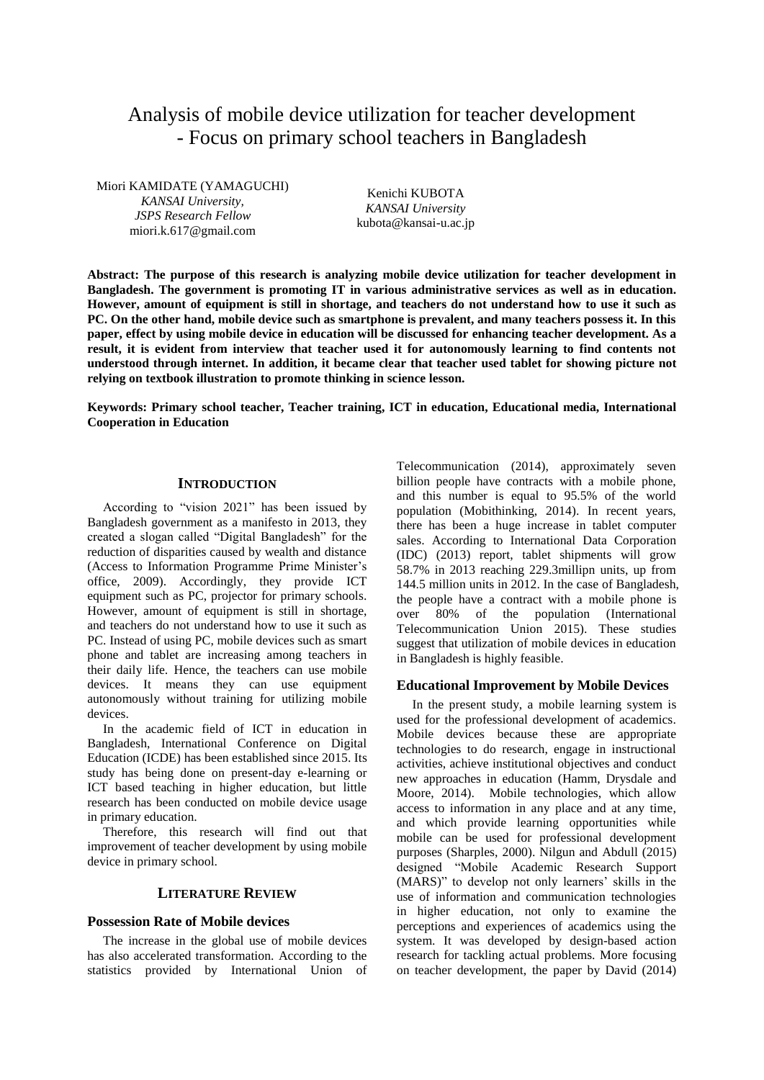# Analysis of mobile device utilization for teacher development - Focus on primary school teachers in Bangladesh

Miori KAMIDATE (YAMAGUCHI) *KANSAI University, JSPS Research Fellow* miori.k.617@gmail.com

Kenichi KUBOTA *KANSAI University* kubota@kansai-u.ac.jp

**Abstract: The purpose of this research is analyzing mobile device utilization for teacher development in Bangladesh. The government is promoting IT in various administrative services as well as in education. However, amount of equipment is still in shortage, and teachers do not understand how to use it such as PC. On the other hand, mobile device such as smartphone is prevalent, and many teachers possess it. In this paper, effect by using mobile device in education will be discussed for enhancing teacher development. As a result, it is evident from interview that teacher used it for autonomously learning to find contents not understood through internet. In addition, it became clear that teacher used tablet for showing picture not relying on textbook illustration to promote thinking in science lesson.** 

**Keywords: Primary school teacher, Teacher training, ICT in education, Educational media, International Cooperation in Education**

## **INTRODUCTION**

According to "vision 2021" has been issued by Bangladesh government as a manifesto in 2013, they created a slogan called "Digital Bangladesh" for the reduction of disparities caused by wealth and distance (Access to Information Programme Prime Minister's office, 2009). Accordingly, they provide ICT equipment such as PC, projector for primary schools. However, amount of equipment is still in shortage, and teachers do not understand how to use it such as PC. Instead of using PC, mobile devices such as smart phone and tablet are increasing among teachers in their daily life. Hence, the teachers can use mobile devices. It means they can use equipment autonomously without training for utilizing mobile devices.

In the academic field of ICT in education in Bangladesh, International Conference on Digital Education (ICDE) has been established since 2015. Its study has being done on present-day e-learning or ICT based teaching in higher education, but little research has been conducted on mobile device usage in primary education.

Therefore, this research will find out that improvement of teacher development by using mobile device in primary school.

# **LITERATURE REVIEW**

#### **Possession Rate of Mobile devices**

The increase in the global use of mobile devices has also accelerated transformation. According to the statistics provided by International Union of Telecommunication (2014), approximately seven billion people have contracts with a mobile phone, and this number is equal to 95.5% of the world population (Mobithinking, 2014). In recent years, there has been a huge increase in tablet computer sales. According to International Data Corporation (IDC) (2013) report, tablet shipments will grow 58.7% in 2013 reaching 229.3millipn units, up from 144.5 million units in 2012. In the case of Bangladesh, the people have a contract with a mobile phone is over 80% of the population (International Telecommunication Union 2015). These studies suggest that utilization of mobile devices in education in Bangladesh is highly feasible.

## **Educational Improvement by Mobile Devices**

In the present study, a mobile learning system is used for the professional development of academics. Mobile devices because these are appropriate technologies to do research, engage in instructional activities, achieve institutional objectives and conduct new approaches in education (Hamm, Drysdale and Moore, 2014). Mobile technologies, which allow access to information in any place and at any time, and which provide learning opportunities while mobile can be used for professional development purposes (Sharples, 2000). Nilgun and Abdull (2015) designed "Mobile Academic Research Support (MARS)" to develop not only learners' skills in the use of information and communication technologies in higher education, not only to examine the perceptions and experiences of academics using the system. It was developed by design-based action research for tackling actual problems. More focusing on teacher development, the paper by David (2014)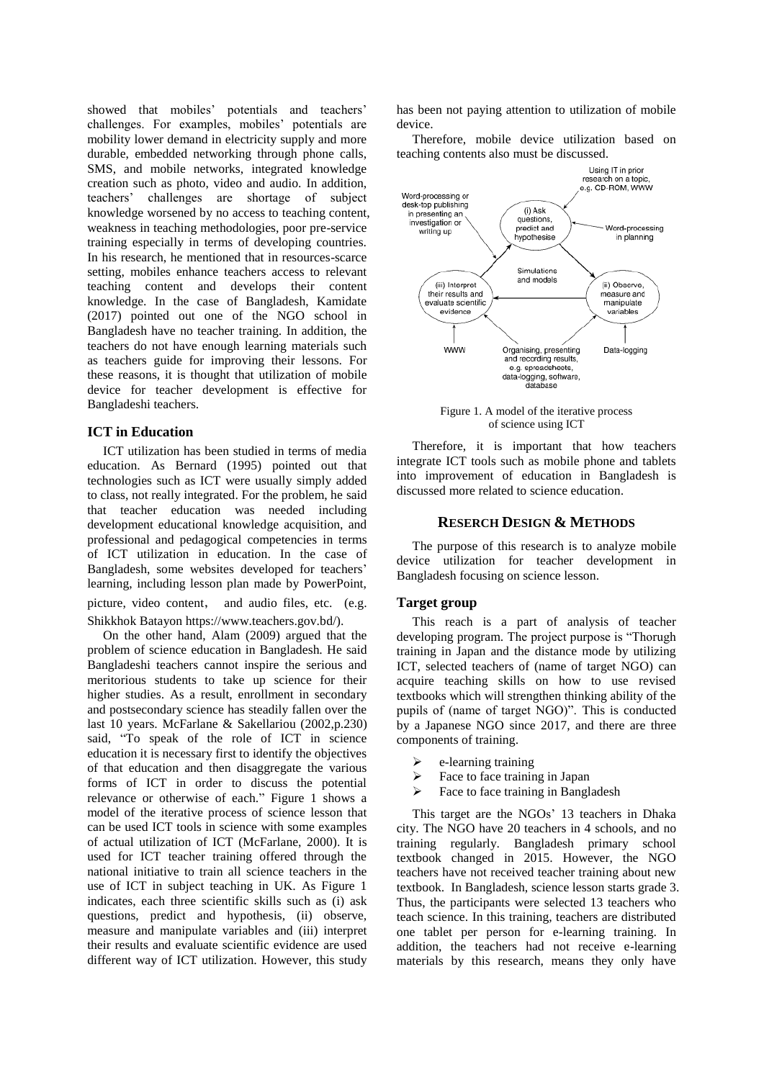showed that mobiles' potentials and teachers' challenges. For examples, mobiles' potentials are mobility lower demand in electricity supply and more durable, embedded networking through phone calls, SMS, and mobile networks, integrated knowledge creation such as photo, video and audio. In addition, teachers' challenges are shortage of subject knowledge worsened by no access to teaching content, weakness in teaching methodologies, poor pre-service training especially in terms of developing countries. In his research, he mentioned that in resources-scarce setting, mobiles enhance teachers access to relevant teaching content and develops their content knowledge. In the case of Bangladesh, Kamidate (2017) pointed out one of the NGO school in Bangladesh have no teacher training. In addition, the teachers do not have enough learning materials such as teachers guide for improving their lessons. For these reasons, it is thought that utilization of mobile device for teacher development is effective for Bangladeshi teachers.

## **ICT in Education**

ICT utilization has been studied in terms of media education. As Bernard (1995) pointed out that technologies such as ICT were usually simply added to class, not really integrated. For the problem, he said that teacher education was needed including development educational knowledge acquisition, and professional and pedagogical competencies in terms of ICT utilization in education. In the case of Bangladesh, some websites developed for teachers' learning, including lesson plan made by PowerPoint, picture, video content, and audio files, etc. (e.g. Shikkhok Batayon https://www.teachers.gov.bd/).

On the other hand, Alam (2009) argued that the problem of science education in Bangladesh. He said Bangladeshi teachers cannot inspire the serious and meritorious students to take up science for their higher studies. As a result, enrollment in secondary and postsecondary science has steadily fallen over the last 10 years. McFarlane & Sakellariou (2002,p.230) said, "To speak of the role of ICT in science education it is necessary first to identify the objectives of that education and then disaggregate the various forms of ICT in order to discuss the potential relevance or otherwise of each." Figure 1 shows a model of the iterative process of science lesson that can be used ICT tools in science with some examples of actual utilization of ICT (McFarlane, 2000). It is used for ICT teacher training offered through the national initiative to train all science teachers in the use of ICT in subject teaching in UK. As Figure 1 indicates, each three scientific skills such as (i) ask questions, predict and hypothesis, (ii) observe, measure and manipulate variables and (iii) interpret their results and evaluate scientific evidence are used different way of ICT utilization. However, this study

has been not paying attention to utilization of mobile device.

Therefore, mobile device utilization based on teaching contents also must be discussed.



Figure 1. A model of the iterative process of science using ICT

Therefore, it is important that how teachers integrate ICT tools such as mobile phone and tablets into improvement of education in Bangladesh is discussed more related to science education.

#### **RESERCH DESIGN & METHODS**

The purpose of this research is to analyze mobile device utilization for teacher development in Bangladesh focusing on science lesson.

#### **Target group**

This reach is a part of analysis of teacher developing program. The project purpose is "Thorugh training in Japan and the distance mode by utilizing ICT, selected teachers of (name of target NGO) can acquire teaching skills on how to use revised textbooks which will strengthen thinking ability of the pupils of (name of target NGO)". This is conducted by a Japanese NGO since 2017, and there are three components of training.

- $\triangleright$  e-learning training
- $\triangleright$  Face to face training in Japan
- $\triangleright$  Face to face training in Bangladesh

This target are the NGOs' 13 teachers in Dhaka city. The NGO have 20 teachers in 4 schools, and no training regularly. Bangladesh primary school textbook changed in 2015. However, the NGO teachers have not received teacher training about new textbook. In Bangladesh, science lesson starts grade 3. Thus, the participants were selected 13 teachers who teach science. In this training, teachers are distributed one tablet per person for e-learning training. In addition, the teachers had not receive e-learning materials by this research, means they only have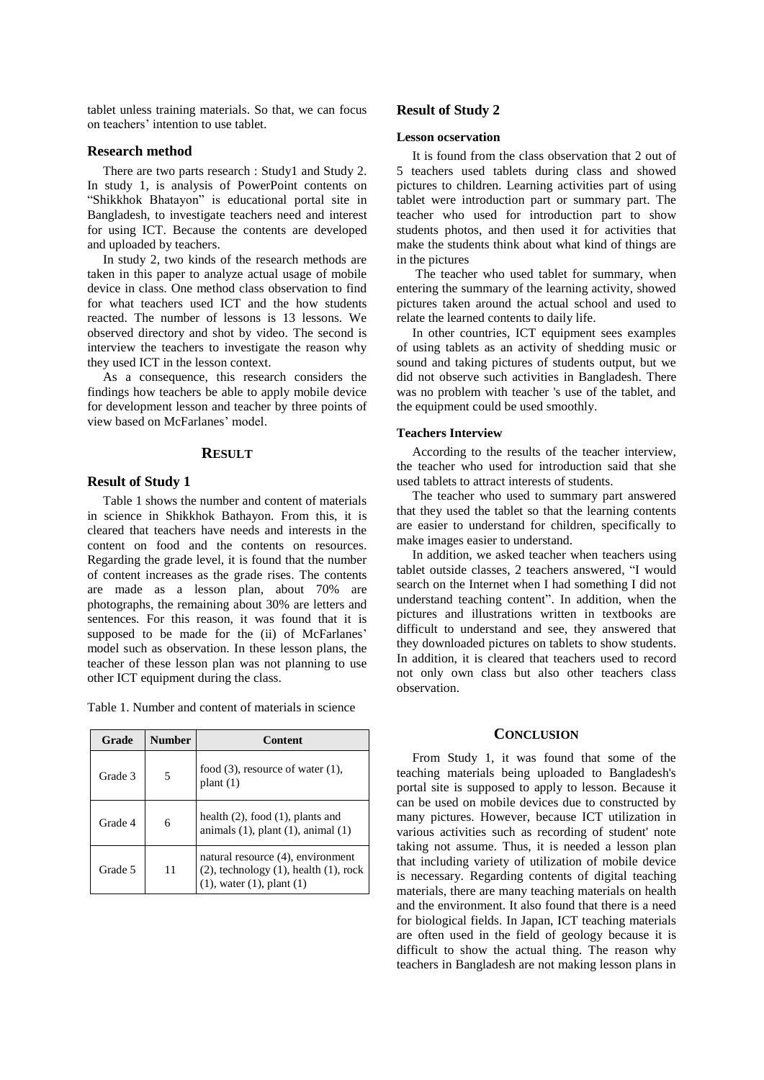tablet unless training materials. So that, we can focus on teachers' intention to use tablet.

## **Research method**

There are two parts research : Study1 and Study 2. In study 1, is analysis of PowerPoint contents on "Shikkhok Bhatayon" is educational portal site in Bangladesh, to investigate teachers need and interest for using ICT. Because the contents are developed and uploaded by teachers.

In study 2, two kinds of the research methods are taken in this paper to analyze actual usage of mobile device in class. One method class observation to find for what teachers used ICT and the how students reacted. The number of lessons is 13 lessons. We observed directory and shot by video. The second is interview the teachers to investigate the reason why they used ICT in the lesson context.

As a consequence, this research considers the findings how teachers be able to apply mobile device for development lesson and teacher by three points of view based on McFarlanes' model.

#### **RESULT**

## **Result of Study 1**

Table 1 shows the number and content of materials in science in Shikkhok Bathayon. From this, it is cleared that teachers have needs and interests in the content on food and the contents on resources. Regarding the grade level, it is found that the number of content increases as the grade rises. The contents are made as a lesson plan, about 70% are photographs, the remaining about 30% are letters and sentences. For this reason, it was found that it is supposed to be made for the (ii) of McFarlanes' model such as observation. In these lesson plans, the teacher of these lesson plan was not planning to use other ICT equipment during the class.

Table 1. Number and content of materials in science

| Grade   | Number | Content                                                                                                                  |
|---------|--------|--------------------------------------------------------------------------------------------------------------------------|
| Grade 3 |        | food $(3)$ , resource of water $(1)$ ,<br>plant(1)                                                                       |
| Grade 4 | 6      | health $(2)$ , food $(1)$ , plants and<br>animals $(1)$ , plant $(1)$ , animal $(1)$                                     |
| Grade 5 | 11     | natural resource (4), environment<br>$(2)$ , technology $(1)$ , health $(1)$ , rock<br>$(1)$ , water $(1)$ , plant $(1)$ |

## **Result of Study 2**

## **Lesson ocservation**

It is found from the class observation that 2 out of 5 teachers used tablets during class and showed pictures to children. Learning activities part of using tablet were introduction part or summary part. The teacher who used for introduction part to show students photos, and then used it for activities that make the students think about what kind of things are in the pictures

The teacher who used tablet for summary, when entering the summary of the learning activity, showed pictures taken around the actual school and used to relate the learned contents to daily life.

In other countries, ICT equipment sees examples of using tablets as an activity of shedding music or sound and taking pictures of students output, but we did not observe such activities in Bangladesh. There was no problem with teacher 's use of the tablet, and the equipment could be used smoothly.

#### **Teachers Interview**

According to the results of the teacher interview, the teacher who used for introduction said that she used tablets to attract interests of students.

The teacher who used to summary part answered that they used the tablet so that the learning contents are easier to understand for children, specifically to make images easier to understand.

In addition, we asked teacher when teachers using tablet outside classes, 2 teachers answered, "I would search on the Internet when I had something I did not understand teaching content". In addition, when the pictures and illustrations written in textbooks are difficult to understand and see, they answered that they downloaded pictures on tablets to show students. In addition, it is cleared that teachers used to record not only own class but also other teachers class observation.

## **CONCLUSION**

From Study 1, it was found that some of the teaching materials being uploaded to Bangladesh's portal site is supposed to apply to lesson. Because it can be used on mobile devices due to constructed by many pictures. However, because ICT utilization in various activities such as recording of student' note taking not assume. Thus, it is needed a lesson plan that including variety of utilization of mobile device is necessary. Regarding contents of digital teaching materials, there are many teaching materials on health and the environment. It also found that there is a need for biological fields. In Japan, ICT teaching materials are often used in the field of geology because it is difficult to show the actual thing. The reason why teachers in Bangladesh are not making lesson plans in